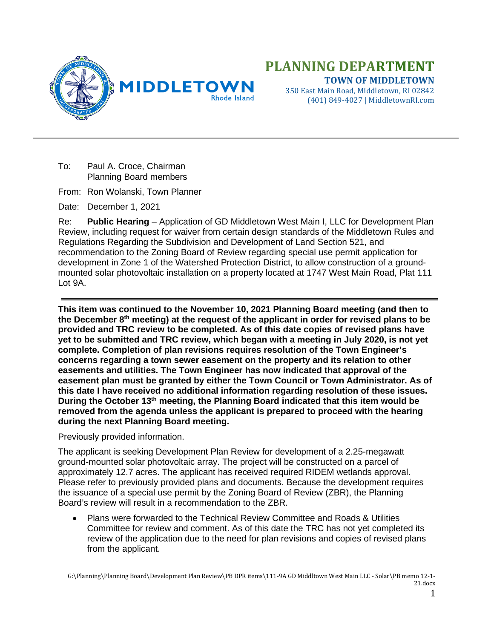

(401) 849-4027 | MiddletownRI.com

To: Paul A. Croce, Chairman Planning Board members

From: Ron Wolanski, Town Planner

Date: December 1, 2021

Re: **Public Hearing** – Application of GD Middletown West Main I, LLC for Development Plan Review, including request for waiver from certain design standards of the Middletown Rules and Regulations Regarding the Subdivision and Development of Land Section 521, and recommendation to the Zoning Board of Review regarding special use permit application for development in Zone 1 of the Watershed Protection District, to allow construction of a groundmounted solar photovoltaic installation on a property located at 1747 West Main Road, Plat 111 Lot 9A.

**This item was continued to the November 10, 2021 Planning Board meeting (and then to the December 8th meeting) at the request of the applicant in order for revised plans to be provided and TRC review to be completed. As of this date copies of revised plans have yet to be submitted and TRC review, which began with a meeting in July 2020, is not yet complete. Completion of plan revisions requires resolution of the Town Engineer's concerns regarding a town sewer easement on the property and its relation to other easements and utilities. The Town Engineer has now indicated that approval of the easement plan must be granted by either the Town Council or Town Administrator. As of this date I have received no additional information regarding resolution of these issues. During the October 13th meeting, the Planning Board indicated that this item would be removed from the agenda unless the applicant is prepared to proceed with the hearing during the next Planning Board meeting.**

Previously provided information.

The applicant is seeking Development Plan Review for development of a 2.25-megawatt ground-mounted solar photovoltaic array. The project will be constructed on a parcel of approximately 12.7 acres. The applicant has received required RIDEM wetlands approval. Please refer to previously provided plans and documents. Because the development requires the issuance of a special use permit by the Zoning Board of Review (ZBR), the Planning Board's review will result in a recommendation to the ZBR.

• Plans were forwarded to the Technical Review Committee and Roads & Utilities Committee for review and comment. As of this date the TRC has not yet completed its review of the application due to the need for plan revisions and copies of revised plans from the applicant.

G:\Planning\Planning Board\Development Plan Review\PB DPR items\111-9A GD Middltown West Main LLC - Solar\PB memo 12-1- 21.docx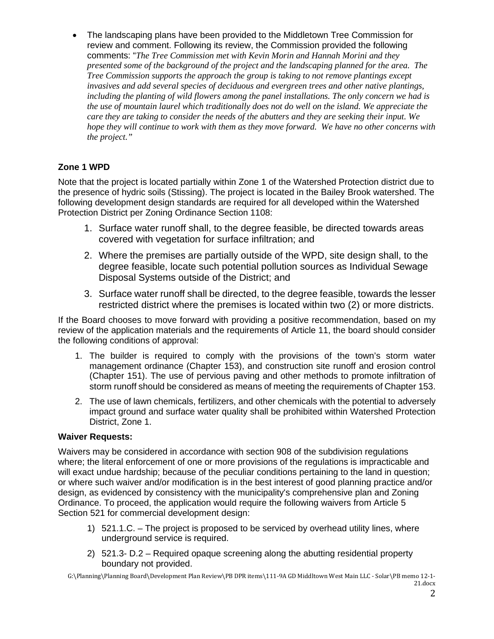• The landscaping plans have been provided to the Middletown Tree Commission for review and comment. Following its review, the Commission provided the following comments: "*The Tree Commission met with Kevin Morin and Hannah Morini and they presented some of the background of the project and the landscaping planned for the area. The Tree Commission supports the approach the group is taking to not remove plantings except invasives and add several species of deciduous and evergreen trees and other native plantings, including the planting of wild flowers among the panel installations. The only concern we had is the use of mountain laurel which traditionally does not do well on the island. We appreciate the care they are taking to consider the needs of the abutters and they are seeking their input. We hope they will continue to work with them as they move forward. We have no other concerns with the project."*

## **Zone 1 WPD**

Note that the project is located partially within Zone 1 of the Watershed Protection district due to the presence of hydric soils (Stissing). The project is located in the Bailey Brook watershed. The following development design standards are required for all developed within the Watershed Protection District per Zoning Ordinance Section 1108:

- 1. Surface water runoff shall, to the degree feasible, be directed towards areas covered with vegetation for surface infiltration; and
- 2. Where the premises are partially outside of the WPD, site design shall, to the degree feasible, locate such potential pollution sources as Individual Sewage Disposal Systems outside of the District; and
- 3. Surface water runoff shall be directed, to the degree feasible, towards the lesser restricted district where the premises is located within two (2) or more districts.

If the Board chooses to move forward with providing a positive recommendation, based on my review of the application materials and the requirements of Article 11, the board should consider the following conditions of approval:

- 1. The builder is required to comply with the provisions of the town's storm water management ordinance (Chapter 153), and construction site runoff and erosion control (Chapter 151). The use of pervious paving and other methods to promote infiltration of storm runoff should be considered as means of meeting the requirements of Chapter 153.
- 2. The use of lawn chemicals, fertilizers, and other chemicals with the potential to adversely impact ground and surface water quality shall be prohibited within Watershed Protection District, Zone 1.

## **Waiver Requests:**

Waivers may be considered in accordance with section 908 of the subdivision regulations where; the literal enforcement of one or more provisions of the regulations is impracticable and will exact undue hardship; because of the peculiar conditions pertaining to the land in question; or where such waiver and/or modification is in the best interest of good planning practice and/or design, as evidenced by consistency with the municipality's comprehensive plan and Zoning Ordinance. To proceed, the application would require the following waivers from Article 5 Section 521 for commercial development design:

- 1) 521.1.C. The project is proposed to be serviced by overhead utility lines, where underground service is required.
- 2) 521.3- D.2 Required opaque screening along the abutting residential property boundary not provided.

G:\Planning\Planning Board\Development Plan Review\PB DPR items\111-9A GD Middltown West Main LLC - Solar\PB memo 12-1- 21.docx